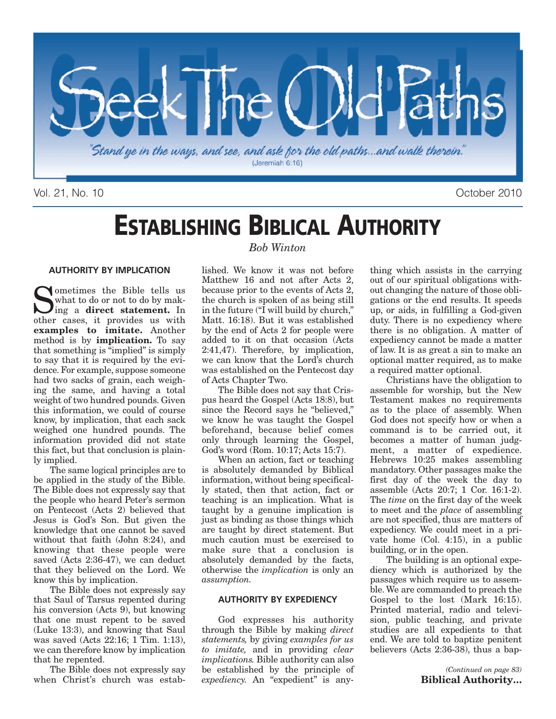

Vol. 21, No. 10 October 2010

## **ESTABLISHING BIBLICAL AUTHORITY**

#### **AUTHORITY BY IMPLICATION**

Sometimes the Bible tells us<br>what to do or not to do by making a **direct statement**. In what to do or not to do by makother cases, it provides us with **examples to imitate.** Another method is by **implication.** To say that something is "implied" is simply to say that it is required by the evidence. For example, suppose someone had two sacks of grain, each weighing the same, and having a total weight of two hundred pounds. Given this information, we could of course know, by implication, that each sack weighed one hundred pounds. The information provided did not state this fact, but that conclusion is plainly implied.

The same logical principles are to be applied in the study of the Bible. The Bible does not expressly say that the people who heard Peter's sermon on Pentecost (Acts 2) believed that Jesus is God's Son. But given the knowledge that one cannot be saved without that faith (John 8:24), and knowing that these people were saved (Acts 2:36-47), we can deduct that they believed on the Lord. We know this by implication.

The Bible does not expressly say that Saul of Tarsus repented during his conversion (Acts 9), but knowing that one must repent to be saved (Luke 13:3), and knowing that Saul was saved (Acts 22:16; 1 Tim. 1:13), we can therefore know by implication that he repented.

The Bible does not expressly say when Christ's church was estab-

#### *Bob Winton*

lished. We know it was not before Matthew 16 and not after Acts 2, because prior to the events of Acts 2, the church is spoken of as being still in the future ("I will build by church," Matt. 16:18). But it was established by the end of Acts 2 for people were added to it on that occasion (Acts 2:41,47). Therefore, by implication, we can know that the Lord's church was established on the Pentecost day of Acts Chapter Two.

The Bible does not say that Crispus heard the Gospel (Acts 18:8), but since the Record says he "believed," we know he was taught the Gospel beforehand, because belief comes only through learning the Gospel, God's word (Rom. 10:17; Acts 15:7).

When an action, fact or teaching is absolutely demanded by Biblical information, without being specifically stated, then that action, fact or teaching is an implication. What is taught by a genuine implication is just as binding as those things which are taught by direct statement. But much caution must be exercised to make sure that a conclusion is absolutely demanded by the facts, otherwise the *implication* is only an *assumption.*

#### **AUTHORITY BY EXPEDIENCY**

God expresses his authority through the Bible by making *direct statements,* by giving *examples for us to imitate,* and in providing *clear implications.* Bible authority can also be established by the principle of *expediency.* An "expedient" is anything which assists in the carrying out of our spiritual obligations without changing the nature of those obligations or the end results. It speeds up, or aids, in fulfilling a God-given duty. There is no expediency where there is no obligation. A matter of expediency cannot be made a matter of law. It is as great a sin to make an optional matter required, as to make a required matter optional.

Christians have the obligation to assemble for worship, but the New Testament makes no requirements as to the place of assembly. When God does not specify how or when a command is to be carried out, it becomes a matter of human judgment, a matter of expedience. Hebrews 10:25 makes assembling mandatory. Other passages make the first day of the week the day to assemble (Acts 20:7; 1 Cor. 16:1-2). The *time* on the first day of the week to meet and the *place* of assembling are not specified, thus are matters of expediency. We could meet in a private home (Col. 4:15), in a public building, or in the open.

The building is an optional expediency which is authorized by the passages which require us to assemble. We are commanded to preach the Gospel to the lost (Mark 16:15). Printed material, radio and television, public teaching, and private studies are all expedients to that end. We are told to baptize penitent believers (Acts 2:36-38), thus a bap-

> *(Continued on page 83)* **Biblical Authority…**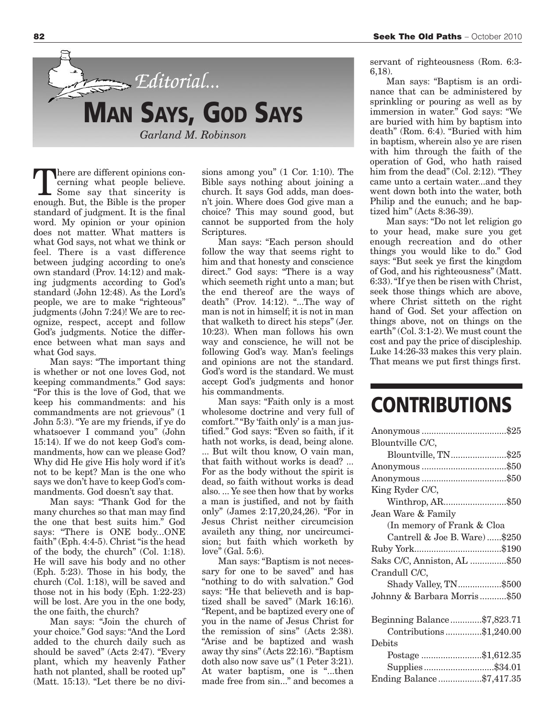

here are different opinions concerning what people believe. Some say that sincerity is enough. But, the Bible is the proper standard of judgment. It is the final word. My opinion or your opinion does not matter. What matters is what God says, not what we think or feel. There is a vast difference between judging according to one's own standard (Prov. 14:12) and making judgments according to God's standard (John 12:48). As the Lord's people, we are to make "righteous" judgments (John 7:24)! We are to recognize, respect, accept and follow God's judgments. Notice the difference between what man says and what God says.

Man says: "The important thing is whether or not one loves God, not keeping commandments." God says: "For this is the love of God, that we keep his commandments: and his commandments are not grievous" (1 John 5:3). "Ye are my friends, if ye do whatsoever I command you" (John 15:14). If we do not keep God's commandments, how can we please God? Why did He give His holy word if it's not to be kept? Man is the one who says we don't have to keep God's commandments. God doesn't say that.

Man says: "Thank God for the many churches so that man may find the one that best suits him." God says: "There is ONE body...ONE faith" (Eph. 4:4-5). Christ "is the head of the body, the church" (Col. 1:18). He will save his body and no other (Eph. 5:23). Those in his body, the church (Col. 1:18), will be saved and those not in his body (Eph. 1:22-23) will be lost. Are you in the one body, the one faith, the church?

Man says: "Join the church of your choice." God says:"And the Lord added to the church daily such as should be saved" (Acts 2:47). "Every plant, which my heavenly Father hath not planted, shall be rooted up" (Matt. 15:13). "Let there be no divisions among you" (1 Cor. 1:10). The Bible says nothing about joining a church. It says God adds, man doesn't join. Where does God give man a choice? This may sound good, but cannot be supported from the holy Scriptures.

Man says: "Each person should follow the way that seems right to him and that honesty and conscience direct." God says: "There is a way which seemeth right unto a man; but the end thereof are the ways of death" (Prov. 14:12). "...The way of man is not in himself; it is not in man that walketh to direct his steps" (Jer. 10:23). When man follows his own way and conscience, he will not be following God's way. Man's feelings and opinions are not the standard. God's word is the standard. We must accept God's judgments and honor his commandments.

Man says: "Faith only is a most wholesome doctrine and very full of comfort.""By 'faith only' is a man justified." God says: "Even so faith, if it hath not works, is dead, being alone. ... But wilt thou know, O vain man, that faith without works is dead? ... For as the body without the spirit is dead, so faith without works is dead also. ... Ye see then how that by works a man is justified, and not by faith only" (James 2:17,20,24,26). "For in Jesus Christ neither circumcision availeth any thing, nor uncircumcision; but faith which worketh by love" (Gal. 5:6).

Man says: "Baptism is not necessary for one to be saved" and has "nothing to do with salvation." God says: "He that believeth and is baptized shall be saved" (Mark 16:16). "Repent, and be baptized every one of you in the name of Jesus Christ for the remission of sins" (Acts 2:38). "Arise and be baptized and wash away thy sins" (Acts 22:16)."Baptism doth also now save us" (1 Peter 3:21). At water baptism, one is "...then made free from sin..." and becomes a servant of righteousness (Rom. 6:3- 6,18).

Man says: "Baptism is an ordinance that can be administered by sprinkling or pouring as well as by immersion in water." God says: "We are buried with him by baptism into death" (Rom. 6:4). "Buried with him in baptism, wherein also ye are risen with him through the faith of the operation of God, who hath raised him from the dead" (Col. 2:12). "They came unto a certain water...and they went down both into the water, both Philip and the eunuch; and he baptized him" (Acts 8:36-39).

Man says: "Do not let religion go to your head, make sure you get enough recreation and do other things you would like to do." God says: "But seek ye first the kingdom of God, and his righteousness" (Matt. 6:33)."If ye then be risen with Christ, seek those things which are above, where Christ sitteth on the right hand of God. Set your affection on things above, not on things on the earth" (Col. 3:1-2).We must count the cost and pay the price of discipleship. Luke 14:26-33 makes this very plain. That means we put first things first.

### **CONTRIBUTIONS**

| Blountville C/C,              |
|-------------------------------|
| Blountville, TN\$25           |
|                               |
|                               |
| King Ryder C/C,               |
| Winthrop, AR\$50              |
| Jean Ware & Family            |
| (In memory of Frank & Cloa    |
| Cantrell & Joe B. Ware) \$250 |
|                               |
| Saks C/C, Anniston, AL \$50   |
| Crandull C/C,                 |
| Shady Valley, TN\$500         |
| Johnny & Barbara Morris\$50   |
|                               |
| Beginning Balance\$7,823.71   |
| Contributions\$1,240.00       |
| Debits                        |
| Postage \$1,612.35            |
| Supplies\$34.01               |
| Ending Balance\$7,417.35      |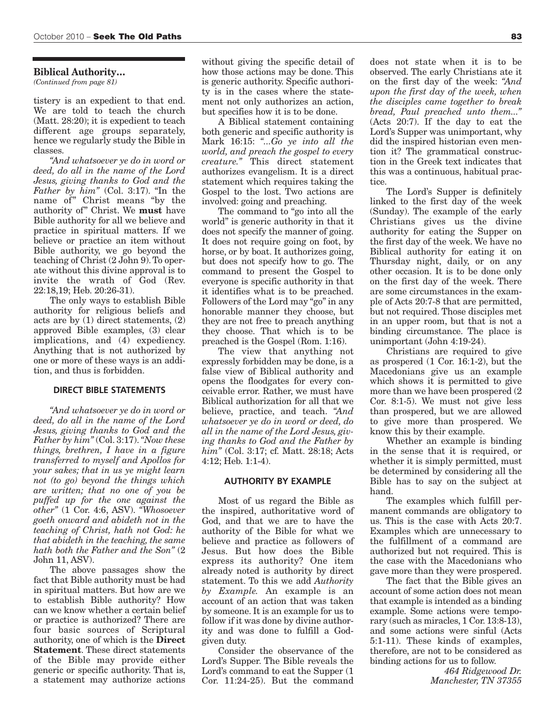#### **Biblical Authority…**

*(Continued from page 81)*

tistery is an expedient to that end. We are told to teach the church (Matt. 28:20); it is expedient to teach different age groups separately, hence we regularly study the Bible in classes.

*"And whatsoever ye do in word or deed, do all in the name of the Lord Jesus, giving thanks to God and the Father by him"* (Col. 3:17). "In the name of" Christ means "by the authority of" Christ. We **must** have Bible authority for all we believe and practice in spiritual matters. If we believe or practice an item without Bible authority, we go beyond the teaching of Christ (2 John 9).To operate without this divine approval is to invite the wrath of God (Rev. 22:18,19; Heb. 20:26-31).

The only ways to establish Bible authority for religious beliefs and acts are by (1) direct statements, (2) approved Bible examples, (3) clear implications, and (4) expediency. Anything that is not authorized by one or more of these ways is an addition, and thus is forbidden.

#### **DIRECT BIBLE STATEMENTS**

*"And whatsoever ye do in word or deed, do all in the name of the Lord Jesus, giving thanks to God and the Father by him"* (Col. 3:17).*"Now these things, brethren, I have in a figure transferred to myself and Apollos for your sakes; that in us ye might learn not (to go) beyond the things which are written; that no one of you be puffed up for the one against the other"* (1 Cor. 4:6, ASV). *"Whosoever goeth onward and abideth not in the teaching of Christ, hath not God: he that abideth in the teaching, the same hath both the Father and the Son"* (2 John 11, ASV).

The above passages show the fact that Bible authority must be had in spiritual matters. But how are we to establish Bible authority? How can we know whether a certain belief or practice is authorized? There are four basic sources of Scriptural authority, one of which is the **Direct Statement**. These direct statements of the Bible may provide either generic or specific authority. That is, a statement may authorize actions

without giving the specific detail of how those actions may be done. This is generic authority. Specific authority is in the cases where the statement not only authorizes an action, but specifies how it is to be done.

A Biblical statement containing both generic and specific authority is Mark 16:15: *"...Go ye into all the world, and preach the gospel to every creature."* This direct statement authorizes evangelism. It is a direct statement which requires taking the Gospel to the lost. Two actions are involved: going and preaching.

The command to "go into all the world" is generic authority in that it does not specify the manner of going. It does not require going on foot, by horse, or by boat. It authorizes going, but does not specify how to go. The command to present the Gospel to everyone is specific authority in that it identifies what is to be preached. Followers of the Lord may "go" in any honorable manner they choose, but they are not free to preach anything they choose. That which is to be preached is the Gospel (Rom. 1:16).

The view that anything not expressly forbidden may be done, is a false view of Biblical authority and opens the floodgates for every conceivable error. Rather, we must have Biblical authorization for all that we believe, practice, and teach. *"And whatsoever ye do in word or deed, do all in the name of the Lord Jesus, giving thanks to God and the Father by him"* (Col. 3:17; cf. Matt. 28:18; Acts 4:12; Heb. 1:1-4).

#### **AUTHORITY BY EXAMPLE**

Most of us regard the Bible as the inspired, authoritative word of God, and that we are to have the authority of the Bible for what we believe and practice as followers of Jesus. But how does the Bible express its authority? One item already noted is authority by direct statement. To this we add *Authority by Example.* An example is an account of an action that was taken by someone. It is an example for us to follow if it was done by divine authority and was done to fulfill a Godgiven duty.

Consider the observance of the Lord's Supper. The Bible reveals the Lord's command to eat the Supper (1 Cor. 11:24-25). But the command

does not state when it is to be observed. The early Christians ate it on the first day of the week: *"And upon the first day of the week, when the disciples came together to break bread, Paul preached unto them..."* (Acts 20:7). If the day to eat the Lord's Supper was unimportant, why did the inspired historian even mention it? The grammatical construction in the Greek text indicates that this was a continuous, habitual practice.

The Lord's Supper is definitely linked to the first day of the week (Sunday). The example of the early Christians gives us the divine authority for eating the Supper on the first day of the week. We have no Biblical authority for eating it on Thursday night, daily, or on any other occasion. It is to be done only on the first day of the week. There are some circumstances in the example of Acts 20:7-8 that are permitted, but not required. Those disciples met in an upper room, but that is not a binding circumstance. The place is unimportant (John 4:19-24).

Christians are required to give as prospered (1 Cor. 16:1-2), but the Macedonians give us an example which shows it is permitted to give more than we have been prospered (2 Cor. 8:1-5). We must not give less than prospered, but we are allowed to give more than prospered. We know this by their example.

Whether an example is binding in the sense that it is required, or whether it is simply permitted, must be determined by considering all the Bible has to say on the subject at hand.

The examples which fulfill permanent commands are obligatory to us. This is the case with Acts 20:7. Examples which are unnecessary to the fulfillment of a command are authorized but not required. This is the case with the Macedonians who gave more than they were prospered.

The fact that the Bible gives an account of some action does not mean that example is intended as a binding example. Some actions were temporary (such as miracles, 1 Cor. 13:8-13), and some actions were sinful (Acts 5:1-11). These kinds of examples, therefore, are not to be considered as binding actions for us to follow.

> *464 Ridgewood Dr. Manchester, TN 37355*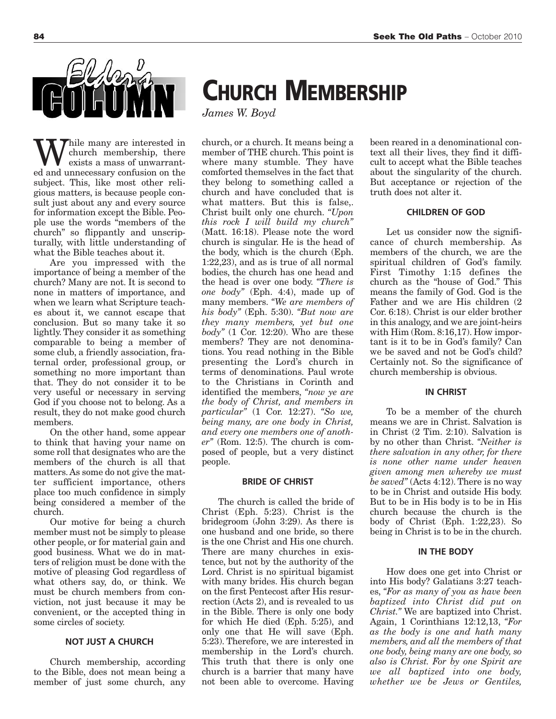

While many are interested in<br>exists a mass of unwarrant-<br>ed and unnecessary confusion on the church membership, there exists a mass of unwarranted and unnecessary confusion on the subject. This, like most other religious matters, is because people consult just about any and every source for information except the Bible. People use the words "members of the church" so flippantly and unscripturally, with little understanding of what the Bible teaches about it.

Are you impressed with the importance of being a member of the church? Many are not. It is second to none in matters of importance, and when we learn what Scripture teaches about it, we cannot escape that conclusion. But so many take it so lightly. They consider it as something comparable to being a member of some club, a friendly association, fraternal order, professional group, or something no more important than that. They do not consider it to be very useful or necessary in serving God if you choose not to belong. As a result, they do not make good church members.

On the other hand, some appear to think that having your name on some roll that designates who are the members of the church is all that matters.As some do not give the matter sufficient importance, others place too much confidence in simply being considered a member of the church.

Our motive for being a church member must not be simply to please other people, or for material gain and good business. What we do in matters of religion must be done with the motive of pleasing God regardless of what others say, do, or think. We must be church members from conviction, not just because it may be convenient, or the accepted thing in some circles of society.

#### **NOT JUST A CHURCH**

Church membership, according to the Bible, does not mean being a member of just some church, any **CHURCH MEMBERSHIP**

*James W. Boyd*

church, or a church. It means being a member of THE church. This point is where many stumble. They have comforted themselves in the fact that they belong to something called a church and have concluded that is what matters. But this is false,. Christ built only one church. *"Upon this rock I will build my church"* (Matt. 16:18). Please note the word church is singular. He is the head of the body, which is the church (Eph. 1:22,23), and as is true of all normal bodies, the church has one head and the head is over one body. *"There is one body"* (Eph. 4:4), made up of many members. *"We are members of his body"* (Eph. 5:30). *"But now are they many members, yet but one*  $body''$  (1 Cor. 12:20). Who are these members? They are not denominations. You read nothing in the Bible presenting the Lord's church in terms of denominations. Paul wrote to the Christians in Corinth and identified the members, *"now ye are the body of Christ, and members in particular"* (1 Cor. 12:27). *"So we, being many, are one body in Christ, and every one members one of another"* (Rom. 12:5). The church is composed of people, but a very distinct people.

#### **BRIDE OF CHRIST**

The church is called the bride of Christ (Eph. 5:23). Christ is the bridegroom (John 3:29). As there is one husband and one bride, so there is the one Christ and His one church. There are many churches in existence, but not by the authority of the Lord. Christ is no spiritual bigamist with many brides. His church began on the first Pentecost after His resurrection (Acts 2), and is revealed to us in the Bible. There is only one body for which He died (Eph. 5:25), and only one that He will save (Eph. 5:23). Therefore, we are interested in membership in the Lord's church. This truth that there is only one church is a barrier that many have not been able to overcome. Having

been reared in a denominational context all their lives, they find it difficult to accept what the Bible teaches about the singularity of the church. But acceptance or rejection of the truth does not alter it.

#### **CHILDREN OF GOD**

Let us consider now the significance of church membership. As members of the church, we are the spiritual children of God's family. First Timothy 1:15 defines the church as the "house of God." This means the family of God. God is the Father and we are His children (2 Cor. 6:18). Christ is our elder brother in this analogy, and we are joint-heirs with Him (Rom. 8:16,17). How important is it to be in God's family? Can we be saved and not be God's child? Certainly not. So the significance of church membership is obvious.

#### **IN CHRIST**

To be a member of the church means we are in Christ. Salvation is in Christ (2 Tim. 2:10). Salvation is by no other than Christ. *"Neither is there salvation in any other, for there is none other name under heaven given among men whereby we must be saved"* (Acts 4:12). There is no way to be in Christ and outside His body. But to be in His body is to be in His church because the church is the body of Christ (Eph. 1:22,23). So being in Christ is to be in the church.

#### **IN THE BODY**

How does one get into Christ or into His body? Galatians 3:27 teaches, *"For as many of you as have been baptized into Christ did put on Christ."* We are baptized into Christ. Again, 1 Corinthians 12:12,13, *"For as the body is one and hath many members, and all the members of that one body, being many are one body, so also is Christ. For by one Spirit are we all baptized into one body, whether we be Jews or Gentiles,*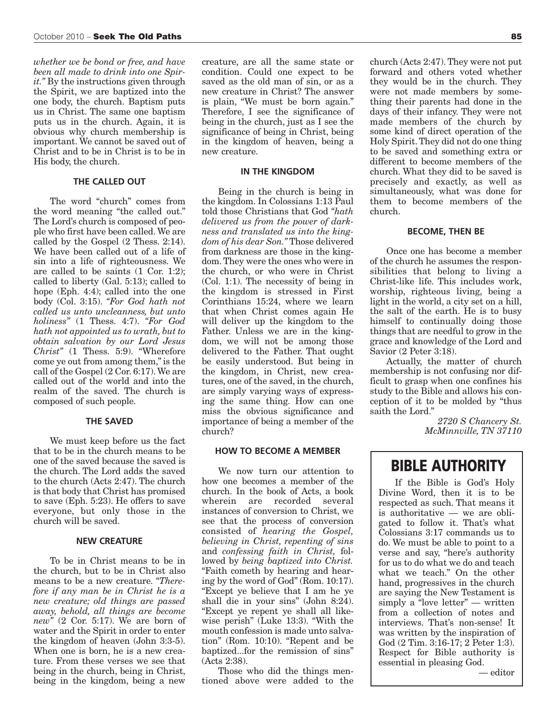*whether we be bond or free, and have been all made to drink into one Spirit."* By the instructions given through the Spirit, we are baptized into the one body, the church. Baptism puts us in Christ. The same one baptism puts us in the church. Again, it is obvious why church membership is important. We cannot be saved out of Christ and to be in Christ is to be in His body, the church.

#### **THE CALLED OUT**

The word "church" comes from the word meaning "the called out." The Lord's church is composed of people who first have been called.We are called by the Gospel (2 Thess. 2:14). We have been called out of a life of sin into a life of righteousness. We are called to be saints (1 Cor. 1:2); called to liberty (Gal. 5:13); called to hope (Eph. 4:4); called into the one body (Col. 3:15). *"For God hath not called us unto uncleanness, but unto holiness"* (1 Thess. 4:7). *"For God hath not appointed us to wrath, but to obtain salvation by our Lord Jesus Christ"* (1 Thess. 5:9). "Wherefore come ye out from among them,"is the call of the Gospel (2 Cor. 6:17).We are called out of the world and into the realm of the saved. The church is composed of such people.

#### **THE SAVED**

We must keep before us the fact that to be in the church means to be one of the saved because the saved is the church. The Lord adds the saved to the church (Acts 2:47). The church is that body that Christ has promised to save (Eph. 5:23). He offers to save everyone, but only those in the church will be saved.

#### **NEW CREATURE**

To be in Christ means to be in the church, but to be in Christ also means to be a new creature. *"Therefore if any man be in Christ he is a new creature; old things are passed away, behold, all things are become new"* (2 Cor. 5:17). We are born of water and the Spirit in order to enter the kingdom of heaven (John 3:3-5). When one is born, he is a new creature. From these verses we see that being in the church, being in Christ, being in the kingdom, being a new creature, are all the same state or condition. Could one expect to be saved as the old man of sin, or as a new creature in Christ? The answer is plain, "We must be born again." Therefore, I see the significance of being in the church, just as I see the significance of being in Christ, being in the kingdom of heaven, being a new creature.

#### **IN THE KINGDOM**

Being in the church is being in the kingdom. In Colossians 1:13 Paul told those Christians that God *"hath delivered us from the power of darkness and translated us into the kingdom of his dear Son."* Those delivered from darkness are those in the kingdom.They were the ones who were in the church, or who were in Christ (Col. 1:1). The necessity of being in the kingdom is stressed in First Corinthians 15:24, where we learn that when Christ comes again He will deliver up the kingdom to the Father. Unless we are in the kingdom, we will not be among those delivered to the Father. That ought be easily understood. But being in the kingdom, in Christ, new creatures, one of the saved, in the church, are simply varying ways of expressing the same thing. How can one miss the obvious significance and importance of being a member of the church?

#### **HOW TO BECOME A MEMBER**

We now turn our attention to how one becomes a member of the church. In the book of Acts, a book wherein are recorded several instances of conversion to Christ, we see that the process of conversion consisted of *hearing the Gospel, believing in Christ, repenting of sins* and *confessing faith in Christ,* followed by *being baptized into Christ.* "Faith cometh by hearing and hearing by the word of God" (Rom. 10:17). "Except ye believe that I am he ye shall die in your sins" (John 8:24). "Except ye repent ye shall all likewise perish" (Luke 13:3). "With the mouth confession is made unto salvation" (Rom. 10:10). "Repent and be baptized...for the remission of sins" (Acts 2:38).

Those who did the things mentioned above were added to the

church (Acts 2:47).They were not put forward and others voted whether they would be in the church. They were not made members by something their parents had done in the days of their infancy. They were not made members of the church by some kind of direct operation of the Holy Spirit.They did not do one thing to be saved and something extra or different to become members of the church. What they did to be saved is precisely and exactly, as well as simultaneously, what was done for them to become members of the church.

#### **BECOME, THEN BE**

Once one has become a member of the church he assumes the responsibilities that belong to living a Christ-like life. This includes work, worship, righteous living, being a light in the world, a city set on a hill, the salt of the earth. He is to busy himself to continually doing those things that are needful to grow in the grace and knowledge of the Lord and Savior (2 Peter 3:18).

Actually, the matter of church membership is not confusing nor difficult to grasp when one confines his study to the Bible and allows his conception of it to be molded by "thus saith the Lord."

> *2720 S Chancery St. McMinnville, TN 37110*

### **BIBLE AUTHORITY**

If the Bible is God's Holy Divine Word, then it is to be respected as such. That means it is authoritative — we are obligated to follow it. That's what Colossians 3:17 commands us to do. We must be able to point to a verse and say, "here's authority for us to do what we do and teach what we teach." On the other hand, progressives in the church are saying the New Testament is simply a "love letter" — written from a collection of notes and interviews. That's non-sense! It was written by the inspiration of God (2 Tim. 3:16-17; 2 Peter 1:3). Respect for Bible authority is essential in pleasing God.

— editor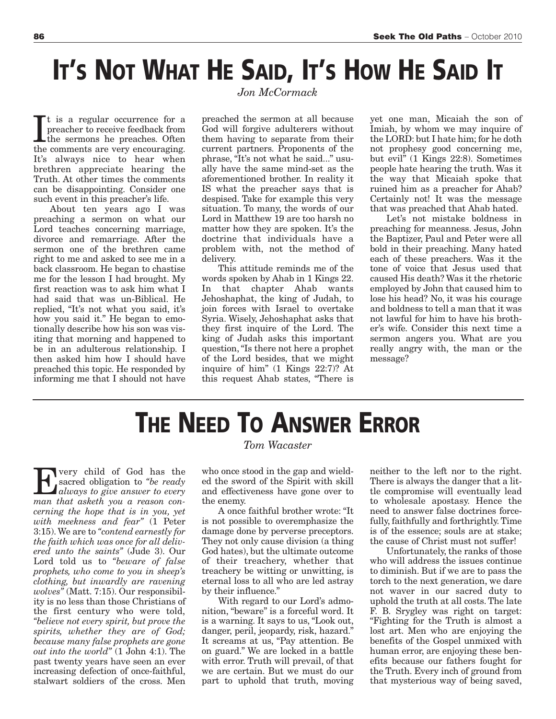## **IT'S NOT WHAT HE SAID, IT'S HOW HE SAID IT**

*Jon McCormack*

It is a regular occurrence for a preacher to receive feedback from the sermons he preaches. Often the comments are very encouraging. t is a regular occurrence for a preacher to receive feedback from the sermons he preaches. Often It's always nice to hear when brethren appreciate hearing the Truth. At other times the comments can be disappointing. Consider one such event in this preacher's life.

About ten years ago I was preaching a sermon on what our Lord teaches concerning marriage, divorce and remarriage. After the sermon one of the brethren came right to me and asked to see me in a back classroom. He began to chastise me for the lesson I had brought. My first reaction was to ask him what I had said that was un-Biblical. He replied, "It's not what you said, it's how you said it." He began to emotionally describe how his son was visiting that morning and happened to be in an adulterous relationship. I then asked him how I should have preached this topic. He responded by informing me that I should not have preached the sermon at all because God will forgive adulterers without them having to separate from their current partners. Proponents of the phrase, "It's not what he said..." usually have the same mind-set as the aforementioned brother. In reality it IS what the preacher says that is despised. Take for example this very situation. To many, the words of our Lord in Matthew 19 are too harsh no matter how they are spoken. It's the doctrine that individuals have a problem with, not the method of delivery.

This attitude reminds me of the words spoken by Ahab in 1 Kings 22. In that chapter Ahab wants Jehoshaphat, the king of Judah, to join forces with Israel to overtake Syria. Wisely, Jehoshaphat asks that they first inquire of the Lord. The king of Judah asks this important question,"Is there not here a prophet of the Lord besides, that we might inquire of him" (1 Kings 22:7)? At this request Ahab states, "There is

yet one man, Micaiah the son of Imiah, by whom we may inquire of the LORD: but I hate him; for he doth not prophesy good concerning me, but evil" (1 Kings 22:8). Sometimes people hate hearing the truth. Was it the way that Micaiah spoke that ruined him as a preacher for Ahab? Certainly not! It was the message that was preached that Ahab hated.

Let's not mistake boldness in preaching for meanness. Jesus, John the Baptizer, Paul and Peter were all bold in their preaching. Many hated each of these preachers. Was it the tone of voice that Jesus used that caused His death? Was it the rhetoric employed by John that caused him to lose his head? No, it was his courage and boldness to tell a man that it was not lawful for him to have his brother's wife. Consider this next time a sermon angers you. What are you really angry with, the man or the message?

## **THE NEED TO ANSWER ERROR**

very child of God has the sacred obligation to *"be ready always to give answer to every man that asketh you a reason concerning the hope that is in you, yet with meekness and fear"* (1 Peter 3:15).We are to *"contend earnestly for the faith which was once for all delivered unto the saints"* (Jude 3). Our Lord told us to *"beware of false prophets, who come to you in sheep's clothing, but inwardly are ravening wolves"* (Matt. 7:15). Our responsibility is no less than those Christians of the first century who were told, *"believe not every spirit, but prove the spirits, whether they are of God; because many false prophets are gone out into the world"* (1 John 4:1). The past twenty years have seen an ever increasing defection of once-faithful, stalwart soldiers of the cross. Men

#### *Tom Wacaster*

who once stood in the gap and wielded the sword of the Spirit with skill and effectiveness have gone over to the enemy.

A once faithful brother wrote: "It is not possible to overemphasize the damage done by perverse preceptors. They not only cause division (a thing God hates), but the ultimate outcome of their treachery, whether that treachery be witting or unwitting, is eternal loss to all who are led astray by their influence."

With regard to our Lord's admonition, "beware" is a forceful word. It is a warning. It says to us, "Look out, danger, peril, jeopardy, risk, hazard." It screams at us, "Pay attention. Be on guard." We are locked in a battle with error. Truth will prevail, of that we are certain. But we must do our part to uphold that truth, moving

neither to the left nor to the right. There is always the danger that a little compromise will eventually lead to wholesale apostasy. Hence the need to answer false doctrines forcefully, faithfully and forthrightly.Time is of the essence; souls are at stake; the cause of Christ must not suffer!

Unfortunately, the ranks of those who will address the issues continue to diminish. But if we are to pass the torch to the next generation, we dare not waver in our sacred duty to uphold the truth at all costs. The late F. B. Srygley was right on target: "Fighting for the Truth is almost a lost art. Men who are enjoying the benefits of the Gospel unmixed with human error, are enjoying these benefits because our fathers fought for the Truth. Every inch of ground from that mysterious way of being saved,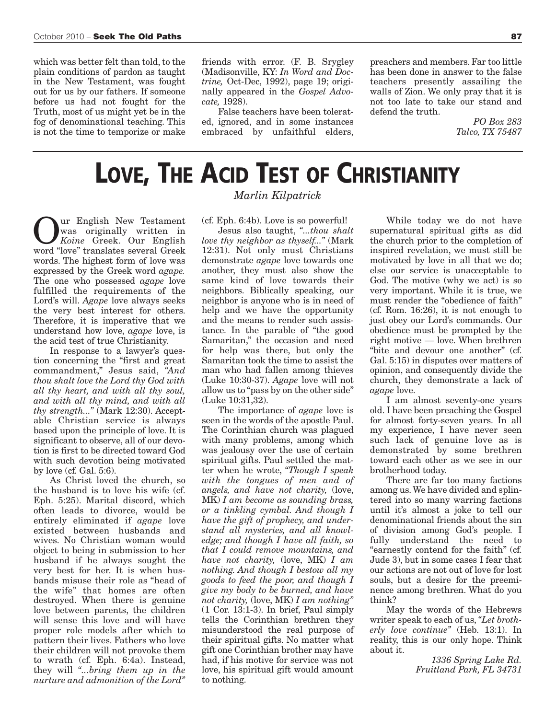which was better felt than told, to the plain conditions of pardon as taught in the New Testament, was fought out for us by our fathers. If someone before us had not fought for the Truth, most of us might yet be in the fog of denominational teaching. This is not the time to temporize or make

friends with error. (F. B. Srygley (Madisonville, KY: *In Word and Doctrine,* Oct-Dec, 1992), page 19; originally appeared in the *Gospel Advocate,* 1928).

False teachers have been tolerated, ignored, and in some instances embraced by unfaithful elders,

preachers and members. Far too little has been done in answer to the false teachers presently assailing the walls of Zion. We only pray that it is not too late to take our stand and defend the truth.

> *PO Box 283 Talco, TX 75487*

# **LOVE, THE ACID TEST OF CHRISTIANITY**

Our English New Testament<br>
Koine Greek. Our English<br>
Word "love" translates several Greek was originally written in *Koine* Greek. Our English word "love" translates several Greek words. The highest form of love was expressed by the Greek word *agape.* The one who possessed *agape* love fulfilled the requirements of the Lord's will. *Agape* love always seeks the very best interest for others. Therefore, it is imperative that we understand how love, *agape* love, is the acid test of true Christianity.

In response to a lawyer's question concerning the "first and great commandment," Jesus said, *"And thou shalt love the Lord thy God with all thy heart, and with all thy soul, and with all thy mind, and with all thy strength..."* (Mark 12:30). Acceptable Christian service is always based upon the principle of love. It is significant to observe, all of our devotion is first to be directed toward God with such devotion being motivated by love (cf. Gal. 5:6).

As Christ loved the church, so the husband is to love his wife (cf. Eph. 5:25). Marital discord, which often leads to divorce, would be entirely eliminated if *agape* love existed between husbands and wives. No Christian woman would object to being in submission to her husband if he always sought the very best for her. It is when husbands misuse their role as "head of the wife" that homes are often destroyed. When there is genuine love between parents, the children will sense this love and will have proper role models after which to pattern their lives. Fathers who love their children will not provoke them to wrath (cf. Eph. 6:4a). Instead, they will *"...bring them up in the nurture and admonition of the Lord"*

*Marlin Kilpatrick*

(cf. Eph. 6:4b). Love is so powerful!

Jesus also taught, *"...thou shalt love thy neighbor as thyself..."* (Mark 12:31). Not only must Christians demonstrate *agape* love towards one another, they must also show the same kind of love towards their neighbors. Biblically speaking, our neighbor is anyone who is in need of help and we have the opportunity and the means to render such assistance. In the parable of "the good Samaritan," the occasion and need for help was there, but only the Samaritan took the time to assist the man who had fallen among thieves (Luke 10:30-37). *Agape* love will not allow us to "pass by on the other side" (Luke 10:31,32).

The importance of *agape* love is seen in the words of the apostle Paul. The Corinthian church was plagued with many problems, among which was jealousy over the use of certain spiritual gifts. Paul settled the matter when he wrote, *"Though I speak with the tongues of men and of angels, and have not charity,* (love, MK) *I am become as sounding brass, or a tinkling cymbal. And though I have the gift of prophecy, and understand all mysteries, and all knowledge; and though I have all faith, so that I could remove mountains, and have not charity,* (love, MK) *I am nothing. And though I bestow all my goods to feed the poor, and though I give my body to be burned, and have not charity,* (love, MK) *I am nothing"* (1 Cor. 13:1-3). In brief, Paul simply tells the Corinthian brethren they misunderstood the real purpose of their spiritual gifts. No matter what gift one Corinthian brother may have had, if his motive for service was not love, his spiritual gift would amount to nothing.

While today we do not have supernatural spiritual gifts as did the church prior to the completion of inspired revelation, we must still be motivated by love in all that we do; else our service is unacceptable to God. The motive (why we act) is so very important. While it is true, we must render the "obedience of faith" (cf. Rom. 16:26), it is not enough to just obey our Lord's commands. Our obedience must be prompted by the right motive — love. When brethren "bite and devour one another" (cf. Gal. 5:15) in disputes over matters of opinion, and consequently divide the church, they demonstrate a lack of *agape* love.

I am almost seventy-one years old. I have been preaching the Gospel for almost forty-seven years. In all my experience, I have never seen such lack of genuine love as is demonstrated by some brethren toward each other as we see in our brotherhood today.

There are far too many factions among us.We have divided and splintered into so many warring factions until it's almost a joke to tell our denominational friends about the sin of division among God's people. I fully understand the need to "earnestly contend for the faith" (cf. Jude 3), but in some cases I fear that our actions are not out of love for lost souls, but a desire for the preeminence among brethren. What do you think?

May the words of the Hebrews writer speak to each of us, *"Let brotherly love continue"* (Heb. 13:1). In reality, this is our only hope. Think about it.

> *1336 Spring Lake Rd. Fruitland Park, FL 34731*